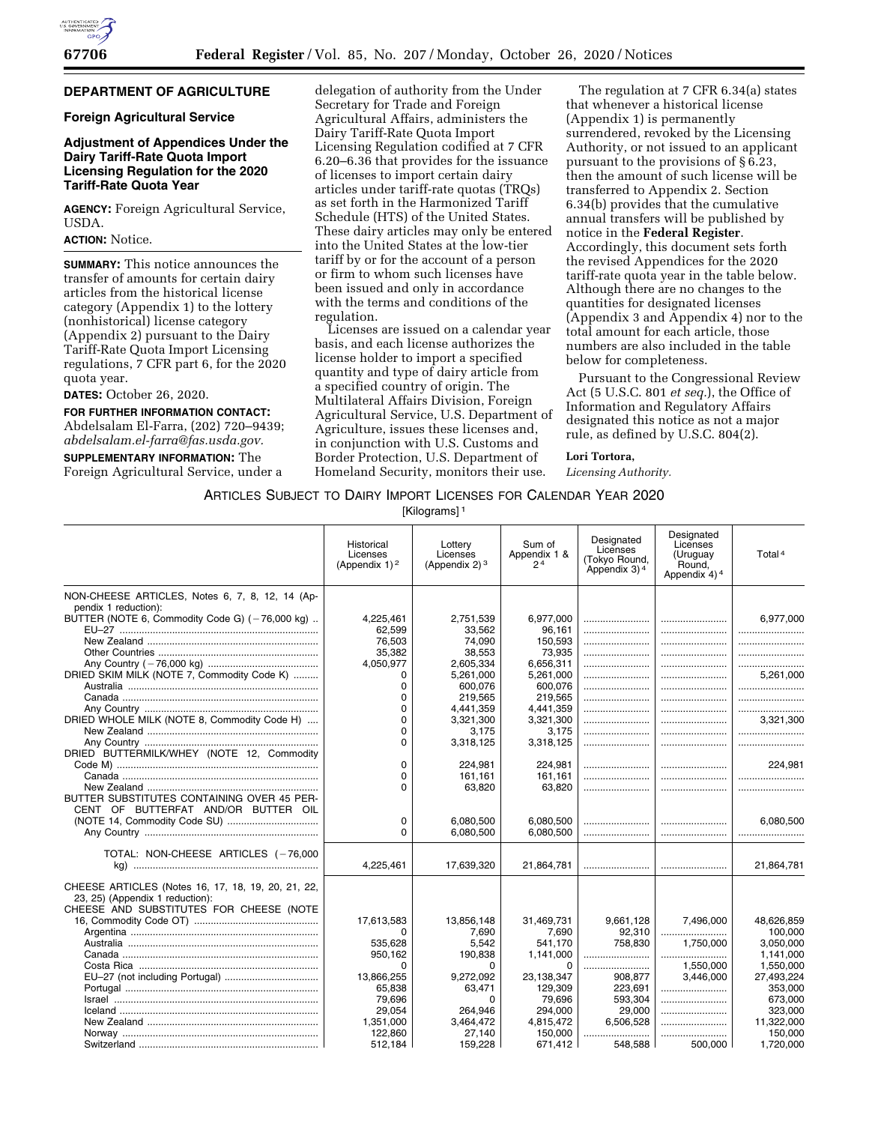

## **DEPARTMENT OF AGRICULTURE**

## **Foreign Agricultural Service**

## **Adjustment of Appendices Under the Dairy Tariff-Rate Quota Import Licensing Regulation for the 2020 Tariff-Rate Quota Year**

**AGENCY:** Foreign Agricultural Service, USDA.

## **ACTION:** Notice.

**SUMMARY:** This notice announces the transfer of amounts for certain dairy articles from the historical license category (Appendix 1) to the lottery (nonhistorical) license category (Appendix 2) pursuant to the Dairy Tariff-Rate Quota Import Licensing regulations, 7 CFR part 6, for the 2020 quota year.

### **DATES:** October 26, 2020.

**FOR FURTHER INFORMATION CONTACT:**  Abdelsalam El-Farra, (202) 720–9439;

*[abdelsalam.el-farra@fas.usda.gov.](mailto:abdelsalam.el-farra@fas.usda.gov)*  **SUPPLEMENTARY INFORMATION:** The Foreign Agricultural Service, under a delegation of authority from the Under Secretary for Trade and Foreign Agricultural Affairs, administers the Dairy Tariff-Rate Quota Import Licensing Regulation codified at 7 CFR 6.20–6.36 that provides for the issuance of licenses to import certain dairy articles under tariff-rate quotas (TRQs) as set forth in the Harmonized Tariff Schedule (HTS) of the United States. These dairy articles may only be entered into the United States at the low-tier tariff by or for the account of a person or firm to whom such licenses have been issued and only in accordance with the terms and conditions of the regulation.

Licenses are issued on a calendar year basis, and each license authorizes the license holder to import a specified quantity and type of dairy article from a specified country of origin. The Multilateral Affairs Division, Foreign Agricultural Service, U.S. Department of Agriculture, issues these licenses and, in conjunction with U.S. Customs and Border Protection, U.S. Department of Homeland Security, monitors their use.

The regulation at 7 CFR 6.34(a) states that whenever a historical license (Appendix 1) is permanently surrendered, revoked by the Licensing Authority, or not issued to an applicant pursuant to the provisions of § 6.23, then the amount of such license will be transferred to Appendix 2. Section 6.34(b) provides that the cumulative annual transfers will be published by notice in the **Federal Register**. Accordingly, this document sets forth the revised Appendices for the 2020 tariff-rate quota year in the table below. Although there are no changes to the quantities for designated licenses (Appendix 3 and Appendix 4) nor to the total amount for each article, those numbers are also included in the table below for completeness.

Pursuant to the Congressional Review Act (5 U.S.C. 801 *et seq.*), the Office of Information and Regulatory Affairs designated this notice as not a major rule, as defined by U.S.C. 804(2).

### **Lori Tortora,**

*Licensing Authority.* 

## ARTICLES SUBJECT TO DAIRY IMPORT LICENSES FOR CALENDAR YEAR 2020

[Kilograms]<sup>1</sup>

|                                                    | Historical<br>Licenses<br>(Appendix $1$ ) <sup>2</sup> | Lottery<br>Licenses<br>(Appendix $2$ ) <sup>3</sup> | Sum of<br>Appendix 1 &<br>2 <sup>4</sup> | Designated<br>Licenses<br>(Tokyo Round,<br>Appendix 3) <sup>4</sup> | Designated<br>Licenses<br>(Uruguay<br>Round,<br>Appendix 4) <sup>4</sup> | Total <sup>4</sup>   |
|----------------------------------------------------|--------------------------------------------------------|-----------------------------------------------------|------------------------------------------|---------------------------------------------------------------------|--------------------------------------------------------------------------|----------------------|
| NON-CHEESE ARTICLES, Notes 6, 7, 8, 12, 14 (Ap-    |                                                        |                                                     |                                          |                                                                     |                                                                          |                      |
| pendix 1 reduction):                               |                                                        |                                                     |                                          |                                                                     |                                                                          |                      |
| BUTTER (NOTE 6, Commodity Code G) (-76,000 kg)     | 4.225.461                                              | 2,751,539                                           | 6,977,000                                |                                                                     |                                                                          | 6,977,000            |
|                                                    | 62,599<br>76,503                                       | 33,562<br>74,090                                    | 96.161<br>150,593                        |                                                                     |                                                                          |                      |
|                                                    | 35.382                                                 | 38.553                                              | 73.935                                   |                                                                     |                                                                          |                      |
|                                                    | 4.050.977                                              | 2.605.334                                           | 6.656.311                                |                                                                     |                                                                          |                      |
| DRIED SKIM MILK (NOTE 7, Commodity Code K)         | 0                                                      | 5,261,000                                           | 5.261.000                                |                                                                     |                                                                          | 5,261,000            |
|                                                    | $\Omega$                                               | 600,076                                             | 600.076                                  |                                                                     |                                                                          |                      |
|                                                    | $\Omega$                                               | 219,565                                             | 219,565                                  |                                                                     |                                                                          |                      |
|                                                    | 0                                                      | 4,441,359                                           | 4,441,359                                |                                                                     |                                                                          |                      |
| DRIED WHOLE MILK (NOTE 8, Commodity Code H)        | $\Omega$                                               | 3,321,300                                           | 3,321,300                                |                                                                     |                                                                          | 3.321.300            |
|                                                    | $\Omega$<br>$\Omega$                                   | 3.175                                               | 3,175                                    |                                                                     |                                                                          |                      |
| DRIED BUTTERMILK/WHEY (NOTE 12, Commodity          |                                                        | 3.318.125                                           | 3,318,125                                |                                                                     |                                                                          |                      |
|                                                    | $\Omega$                                               | 224,981                                             | 224,981                                  |                                                                     |                                                                          | 224.981              |
|                                                    | $\Omega$                                               | 161.161                                             | 161.161                                  |                                                                     |                                                                          |                      |
|                                                    | $\Omega$                                               | 63,820                                              | 63.820                                   |                                                                     |                                                                          |                      |
| BUTTER SUBSTITUTES CONTAINING OVER 45 PER-         |                                                        |                                                     |                                          |                                                                     |                                                                          |                      |
| CENT OF BUTTERFAT AND/OR BUTTER OIL                |                                                        |                                                     |                                          |                                                                     |                                                                          |                      |
|                                                    | 0                                                      | 6,080,500                                           | 6,080,500                                |                                                                     |                                                                          | 6.080.500            |
|                                                    | $\Omega$                                               | 6.080.500                                           | 6.080.500                                |                                                                     |                                                                          |                      |
| TOTAL: NON-CHEESE ARTICLES (-76,000                |                                                        |                                                     |                                          |                                                                     |                                                                          |                      |
|                                                    | 4,225,461                                              | 17,639,320                                          | 21,864,781                               |                                                                     |                                                                          | 21,864,781           |
|                                                    |                                                        |                                                     |                                          |                                                                     |                                                                          |                      |
| CHEESE ARTICLES (Notes 16, 17, 18, 19, 20, 21, 22, |                                                        |                                                     |                                          |                                                                     |                                                                          |                      |
| 23, 25) (Appendix 1 reduction):                    |                                                        |                                                     |                                          |                                                                     |                                                                          |                      |
| CHEESE AND SUBSTITUTES FOR CHEESE (NOTE            |                                                        |                                                     |                                          |                                                                     |                                                                          |                      |
|                                                    | 17,613,583                                             | 13.856.148                                          | 31,469,731                               | 9.661.128                                                           | 7.496.000                                                                | 48,626,859           |
|                                                    | <sup>0</sup><br>535,628                                | 7.690<br>5,542                                      | 7.690<br>541,170                         | 92,310<br>758.830                                                   | <br>1.750.000                                                            | 100.000<br>3,050,000 |
|                                                    | 950,162                                                | 190,838                                             | 1,141,000                                |                                                                     |                                                                          | 1,141,000            |
|                                                    | 0                                                      | 0                                                   | $\Omega$                                 |                                                                     | 1,550,000                                                                | 1,550,000            |
|                                                    | 13.866.255                                             | 9.272.092                                           | 23.138.347                               | 908.877                                                             | 3.446.000                                                                | 27,493,224           |
|                                                    | 65,838                                                 | 63,471                                              | 129,309                                  | 223,691                                                             |                                                                          | 353,000              |
|                                                    | 79,696                                                 | 0                                                   | 79.696                                   | 593,304                                                             |                                                                          | 673,000              |
|                                                    | 29,054                                                 | 264,946                                             | 294,000                                  | 29,000                                                              |                                                                          | 323,000              |
|                                                    | 1.351.000                                              | 3.464.472                                           | 4.815.472                                | 6.506.528                                                           |                                                                          | 11,322,000           |
|                                                    | 122.860                                                | 27,140                                              | 150.000                                  |                                                                     |                                                                          | 150.000              |
|                                                    | 512,184                                                | 159,228                                             | 671.412                                  | 548.588                                                             | 500.000                                                                  | 1,720,000            |